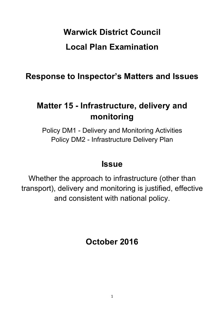# **Warwick District Council Local Plan Examination**

**Response to Inspector's Matters and Issues**

## **Matter 15 - Infrastructure, delivery and monitoring**

Policy DM1 - Delivery and Monitoring Activities Policy DM2 - Infrastructure Delivery Plan

### **Issue**

Whether the approach to infrastructure (other than transport), delivery and monitoring is justified, effective and consistent with national policy.

**October 2016**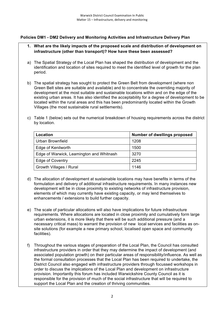#### **Policies DM1 - DM2 Delivery and Monitoring Activities and Infrastructure Delivery Plan**

- **1. What are the likely impacts of the proposed scale and distribution of development on infrastructure (other than transport)? How have these been assessed?**
- a) The Spatial Strategy of the Local Plan has shaped the distribution of development and the identification and location of sites required to meet the identified level of growth for the plan period.
- b) The spatial strategy has sought to protect the Green Belt from development (where non Green Belt sites are suitable and available) and to concentrate the overriding majority of development at the most suitable and sustainable locations within and on the edge of the existing urban areas. It has also identified the acceptability for a degree of development to be located within the rural areas and this has been predominantly located within the Growth Villages (the most sustainable rural settlements).
- c) Table 1 (below) sets out the numerical breakdown of housing requirements across the district by location.

| Location                                 | <b>Number of dwellings proposed</b> |
|------------------------------------------|-------------------------------------|
| Urban Brownfield                         | 1208                                |
| Edge of Kenilworth                       | 1500                                |
| Edge of Warwick, Leamington and Whitnash | 3270                                |
| Edge of Coventry                         | 2245                                |
| Growth Villages / Rural                  | 1146                                |

- d) The allocation of development at sustainable locations may have benefits in terms of the formulation and delivery of additional infrastructure requirements. In many instances new development will be in close proximity to existing networks of infrastructure provision, elements of which may currently have existing capacity, or may lend themselves to enhancements / extensions to build further capacity.
- e) The scale of particular allocations will also have implications for future infrastructure requirements. Where allocations are located in close proximity and cumulatively form large urban extensions, it is more likely that there will be such additional pressure (and a necessary critical mass) to warrant the provision of new local services and facilities as onsite solutions (for example a new primary school, localised open space and community facilities).
- f) Throughout the various stages of preparation of the Local Plan, the Council has consulted infrastructure providers in order that they may determine the impact of development (and associated population growth) on their particular areas of responsibility/influence. As well as the formal consultation processes that the Local Plan has been required to undertake, the District Council also engaged with infrastructure providers through focussed workshops in order to discuss the implications of the Local Plan and development on infrastructure provision. Importantly this forum has included Warwickshire County Council as it is responsible for the provision of much of the social infrastructure that will be required to support the Local Plan and the creation of thriving communities.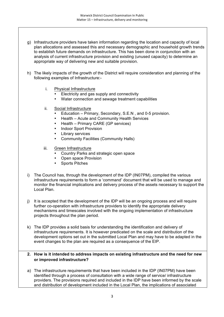- g) Infrastructure providers have taken information regarding the location and capacity of local plan allocations and assessed this and necessary demographic and household growth trends to establish future demands on infrastructure. This has been done in conjunction with an analysis of current infrastructure provision and existing (unused capacity) to determine an appropriate way of delivering new and suitable provision.
- h) The likely impacts of the growth of the District will require consideration and planning of the following examples of Infrastructure:
	- i. Physical Infrastructure
		- Electricity and gas supply and connectivity
		- Water connection and sewage treatment capabilities
	- ii. Social Infrastructure
		- Education Primary, Secondary, S.E.N , and 0-5 provision.
		- Health Acute and Community Health Services
		- Health Primary CARE (GP services)
		- Indoor Sport Provision
		- Library services
		- Community Facilities (Community Halls)
	- iii. Green Infrastructure
		- Country Parks and strategic open space
		- Open space Provision
		- Sports Pitches
- i) The Council has, through the development of the IDP (IN07PM), compiled the various infrastructure requirements to form a 'command' document that will be used to manage and monitor the financial implications and delivery process of the assets necessary to support the Local Plan.
- j) It is accepted that the development of the IDP will be an ongoing process and will require further co-operation with infrastructure providers to identify the appropriate delivery mechanisms and timescales involved with the ongoing implementation of infrastructure projects throughout the plan period.
- k) The IDP provides a solid basis for understanding the identification and delivery of infrastructure requirements. It is however predicated on the scale and distribution of the development options set out in the submitted Local Plan and may have to be adapted in the event changes to the plan are required as a consequence of the EIP.

#### **2. How is it intended to address impacts on existing infrastructure and the need for new or improved infrastructure?**

a) The infrastructure requirements that have been included in the IDP (IN07PM) have been identified through a process of consultation with a wide range of service/ infrastructure providers. The provisions required and included in the IDP have been informed by the scale and distribution of development included in the Local Plan, the implications of associated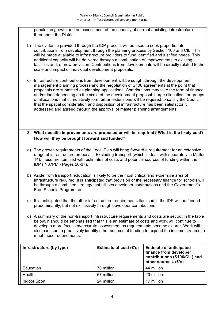population growth and an assessment of the capacity of current / existing infrastructure throughout the District.

- b) The evidence provided through the IDP process will be used to seek proportionate contributions from development through the planning process by Section 106 and CIL. This will be made available to infrastructure providers to fund identified and justified needs. This additional capacity will be delivered through a combination of improvements to existing facilities and, or new provision. Contributions from developments will be directly related to the scale and impact of individual development proposals.
- c) Infrastructure contributions from development will be sought through the development management planning process and the negotiation of S106 agreements at the point that proposals are submitted as planning applications. Contributions may take the form of finance and/or land depending on the scale of the development proposal. Large allocations or groups of allocations that cumulatively form urban extensions will be required to satisfy the Council that the spatial consideration and disposition of infrastructure has been satisfactorily addressed and agreed through the approval of master planning arrangements.

#### **3. What specific improvements are proposed or will be required? What is the likely cost? How will they be brought forward and funded?**

- a) The growth requirements of the Local Plan will bring forward a requirement for an extensive range of infrastructure proposals. Excluding transport (which is dealt with separately in Matter 14), these are itemised with estimates of costs and potential sources of funding within the IDP (IN07PM - Pages 20-37).
- b) Aside from transport, education is likely to be the most critical and expensive area of infrastructure required. It is anticipated that provision of the necessary finance for schools will be through a combined strategy that utilises developer contributions and the Government's Free Schools Programme.
- c) It is anticipated that the other infrastructure requirements itemised in the IDP will be funded predominantly, but not exclusively through developer contributions.
- d) A summary of the non-transport Infrastructure requirements and costs are set out in the table below. It should be emphasised that this is an estimate of costs and work will continue to develop a more focussed/accurate assessment as requirements become clearer. Work will also continue to proactively identify other sources of funding to expand the income streams to meet these requirements.

| Infrastructure (by type) | Estimate of cost $(E's)$ | <b>Estimate of anticipated</b><br>finance from developer<br>contributions (S106/CIL) and<br>other sources. (£'s) |
|--------------------------|--------------------------|------------------------------------------------------------------------------------------------------------------|
| Education                | 70 million               | 44 million                                                                                                       |
| Health                   | 67 million               | 20 million                                                                                                       |
| Indoor Sport             | 24 million               | 17 million                                                                                                       |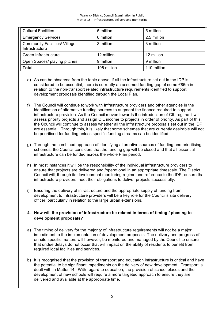| <b>Cultural Facilities</b>                             | 5 million   | 5 million   |
|--------------------------------------------------------|-------------|-------------|
| <b>Emergency Services</b>                              | 6 million   | 2.5 million |
| <b>Community Facilities/ Village</b><br>Infrastructure | 3 million   | 3 million   |
| Green Infrastructure                                   | 12 million  | 12 million  |
| Open Spaces/ playing pitches                           | 9 million   | 9 million   |
| <b>Total</b>                                           | 196 million | 110 million |

- e) As can be observed from the table above, if all the infrastructure set out in the IDP is considered to be essential, there is currently an assumed funding gap of some £86m in relation to the non-transport related infrastructure requirements identified to support development proposals identified through the Local Plan.
- f) The Council will continue to work with Infrastructure providers and other agencies in the identification of alternative funding sources to augment the finance required to support infrastructure provision. As the Council moves towards the introduction of CIL regime it will assess priority projects and assign CIL income to projects in order of priority. As part of this, the Council will continue to assess whether all the infrastructure proposals set out in the IDP are essential. Through this, it is likely that some schemes that are currently desirable will not be prioritised for funding unless specific funding streams can be identified.
- g) Through the combined approach of identifying alternative sources of funding and prioritising schemes, the Council considers that the funding gap will be closed and that all essential infrastructure can be funded across the whole Plan period.
- h) In most instances it will be the responsibility of the individual infrastructure providers to ensure that projects are delivered and /operational in an appropriate timescale. The District Council will, through its development monitoring regime and reference to the IDP, ensure that infrastructure providers meet their obligations to deliver projects successfully.
- i) Ensuring the delivery of infrastructure and the appropriate supply of funding from development to Infrastructure providers will be a key role for the Council's site delivery officer, particularly in relation to the large urban extensions.

#### **4. How will the provision of infrastructure be related in terms of timing / phasing to development proposals?**

- a) The timing of delivery for the majority of infrastructure requirements will not be a major impediment to the implementation of development proposals. The delivery and progress of on-site specific matters will however, be monitored and managed by the Council to ensure that undue delays do not occur that will impact on the ability of residents to benefit from required local facilities and services.
- b) It is recognised that the provision of transport and education infrastructure is critical and have the potential to be significant impediments on the delivery of new development. Transport is dealt with in Matter 14. With regard to education, the provision of school places and the development of new schools will require a more targeted approach to ensure they are delivered and available at the appropriate time.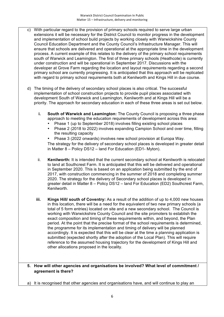- c) With particular regard to the provision of primary schools required to serve large urban extensions it will be necessary for the District Council to monitor progress in the development and implementation of school build projects by working closely with Warwickshire County Council Education Department and the County Council's Infrastructure Manager. This will ensure that schools are delivered and operational at the appropriate time in the development process. A current example of this relates to the delivery of the primary school requirements south of Warwick and Leamington. The first of three primary schools (Heathcote) is currently under construction and will be operational in September 2017. Discussions with the developer at Grove Farm regarding the location and layout requirements regarding a second primary school are currently progressing. It is anticipated that this approach will be replicated with regard to primary school requirements both at Kenilworth and Kings Hill in due course.
- d) The timing of the delivery of secondary school places is also critical. The successful implementation of school construction projects to provide pupil places associated with development South of Warwick and Leamington, Kenilworth and at Kings Hill will be a priority. The approach for secondary education in each of these three areas is set out below.
	- **i. South of Warwick and Leamington:** The County Council is proposing a three phase approach to meeting the education requirements of development across this area:
		- Phase 1 (up to September 2018) involves filling existing school places
		- Phase 2 (2018 to 2022) involves expanding Campion School and over time, filling the resulting capacity
		- Phase 3 (2022 onwards) involves new school provision at Europa Way.

The strategy for the delivery of secondary school places is developed in greater detail in Matter 8 – Policy DS12 – land For Education (ED1- Myton).

- ii. **Kenilworth:** It is intended that the current secondary school at Kenilworth is relocated to land at Southcrest Farm. It is anticipated that this will be delivered and operational in September 2020. This is based on an application being submitted by the end of 2017, with construction commencing in the summer of 2018 and completing summer 2020. The strategy for the delivery of Secondary school places is developed in greater detail in Matter 8 – Policy DS12 – land For Education (ED2) Southcrest Farm, Kenilworth.
- **iii. Kings Hill/ south of Coventry:** As a result of the addition of up to 4,000 new houses in this location, there will be a need for the equivalent of two new primary schools (a total of 5 form entries) located on site and a new secondary school. The Council is working with Warwickshire County Council and the site promoters to establish the exact composition and timing of these requirements within, and beyond, the Plan period. At the point that the precise format of the school requirements is determined, the programme for its implementation and timing of delivery will be planned accordingly. It is expected that this will be clear at the time a planning application is submitted (expected shortly after the adoption of the Local Plan). This will require reference to the assumed housing trajectory for the development of Kings Hill and other allocations proposed in the locality.

#### **5. How will other agencies and organisations be involved? What level of commitment / agreement is there?**

a) It is recognised that other agencies and organisations have, and will continue to play an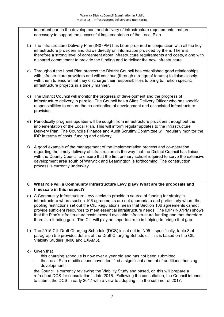important part in the development and delivery of infrastructure requirements that are necessary to support the successful implementation of the Local Plan.

- b) The Infrastructure Delivery Plan (IN07PM) has been prepared in conjunction with all the key infrastructure providers and draws directly on information provided by them. There is therefore a strong level of agreement about infrastructure requirements and costs, along with a shared commitment to provide the funding and to deliver the new infrastructure
- c) Throughout the Local Plan process the District Council has established good relationships with infrastructure providers and will continue (through a range of forums) to liaise closely with them to ensure that they discharge their responsibilities to bring to fruition specific infrastructure projects in a timely manner.
- d) The District Council will monitor the progress of development and the progress of infrastructure delivery in parallel. The Council has a Sites Delivery Officer who has specific responsibilities to ensure the co-ordination of development and associated infrastructure provision.
- e) Periodically progress updates will be sought from infrastructure providers throughout the implementation of the Local Plan. This will inform regular updates to the Infrastructure Delivery Plan. The Council's Finance and Audit Scrutiny Committee will regularly monitor the IDP in terms of costs, funding and delivery.
- f) A good example of the management of the implementation process and co-operation regarding the timely delivery of infrastructure is the way that the District Council has liaised with the County Council to ensure that the first primary school required to serve the extensive development area south of Warwick and Leamington is forthcoming. The construction process is currently underway.

#### **6. What role will a Community Infrastructure Levy play? What are the proposals and timescale in this respect?**

- a) A Community Infrastructure Levy seeks to provide a source of funding for strategic infrastructure where section 106 agreements are not appropriate and particularly where the pooling restrictions set out the CIL Regulations mean that Section 106 agreements cannot provide sufficient resources to meet essential infrastructure needs. The IDP (IN07PM) shows that the Plan's infrastructure costs exceed available infrastructure funding and that therefore there is a funding gap. The CIL will play an important role in helping to bridge that gap.
- b) The 2015 CIL Draft Charging Schedule (DCS) is set out in IN05 specifically, table 3 at paragraph 5.5 provides details of the Draft Charging Schedule. This is based on the CIL Viability Studies (IN06 and EXAM3).

#### c) Given that

- i. this charging schedule is now over a year old and has not been submitted
- ii. the Local Plan modifications have identified a significant amount of additional housing development,

the Council is currently reviewing the Viability Study and based, on this will prepare a refreshed DCS for consultation in late 2016. Following the consultation, the Council intends to submit the DCS in early 2017 with a view to adopting it in the summer of 2017.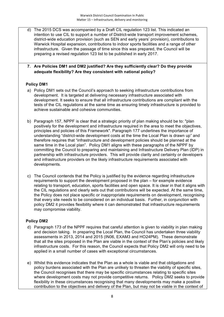d) The 2015 DCS was accompanied by a Draft CIL regulation 123 list. This indicated an intention to use CIL to support a number of District-wide transport improvement schemes, district-wide education provision (such as SEN and early years' provision), contributions to Warwick Hospital expansion, contributions to indoor sports facilities and a range of other infrastructure. Given the passage of time since this was prepared, the Council will be preparing a revised regulation 123 list to be published in early 2017.

#### **7. Are Policies DM1 and DM2 justified? Are they sufficiently clear? Do they provide adequate flexibility? Are they consistent with national policy?**

#### **Policy DM1**

- a) Policy DM1 sets out the Council's approach to seeking infrastructure contributions from development. It is targeted at delivering necessary infrastructure associated with development. It seeks to ensure that all infrastructure contributions are compliant with the tests of the CIL regulations at the same time as ensuring timely infrastructure is provided to achieve sustainable and cohesive communities.
- b) Paragraph 157, NPPF is clear that a strategic priority of plan making should be to: "plan positively for the development and infrastructure required in the area to meet the objectives, principles and policies of this Framework". Paragraph 177 underlines the importance of understanding "district-wide development costs at the time the Local Plan is drawn up" and therefore requires that "infrastructure and development policies should be planned at the same time in the Local plan". Policy DM1 aligns with these paragraphs of the NPPF by committing the Council to preparing and maintaining and Infrastructure Delivery Plan (IDP) in partnership with infrastructure providers. This will provide clarity and certainty or developers and infrastructure providers on the likely infrastructure requirements associated with developments.
- c) The Council contends that the Policy is justified by the evidence regarding infrastructure requirements to support the development proposed in the plan – for example evidence relating to transport, education, sports facilities and open space. It is clear in that it aligns with the CIL regulations and clearly sets out that contributions will be expected. At the same time, the Policy does not place specific or inappropriate requirements on development, recognising that every site needs to be considered on an individual basis. Further, in conjunction with policy DM2 it provides flexibility where it can demonstrated that infrastructure requirements may compromise viability.

#### **Policy DM2**

- d) Paragraph 173 of the NPPF requires that careful attention is given to viability in plan making and decision taking. In preparing the Local Plan, the Council has undertaken three viability assessments in 2013, 2014 and 2015 (IN06, EXAM3 and HO24PM). These demonstrate that all the sites proposed in the Plan are viable in the context of the Plan's policies and likely infrastructure costs. For this reason, the Council expects that Policy DM2 will only need to be applied in a small number of cases with exceptional circumstances.
- e) Whilst this evidence indicates that the Plan as a whole is viable and that obligations and policy burdens associated with the Plan are unlikely to threaten the viability of specific sites, the Council recognises that there may be specific circumstances relating to specific sites where development costs may not provide competitive returns. Policy DM2 seeks to provide flexibility in these circumstances recognising that many developments may make a positive contribution to the objectives and delivery of the Plan, but may not be viable in the context of